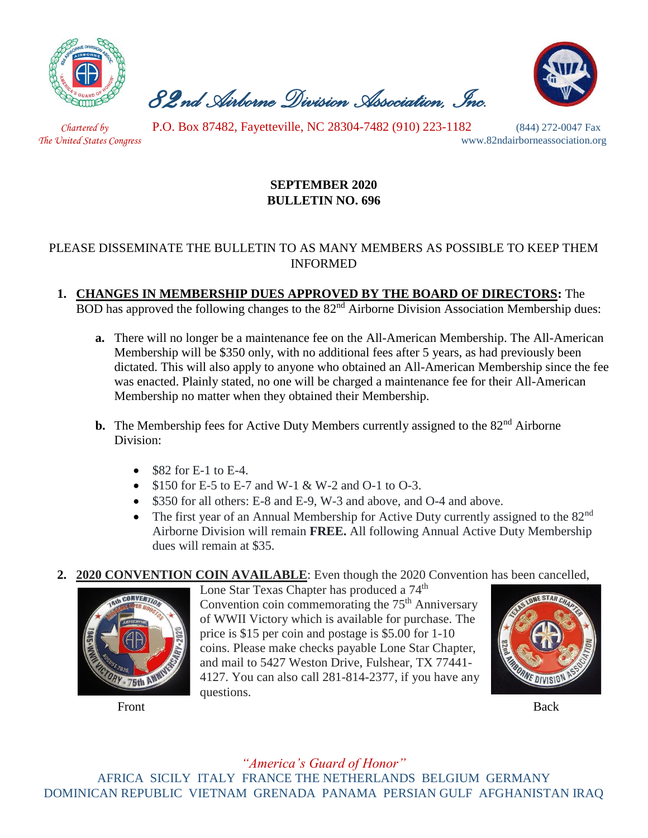

 *82nd Airborne Division Association, Inc.* 



 *Chartered by* P.O. Box 87482, Fayetteville, NC 28304-7482 (910) 223-1182 (844) 272-0047 Fax

*The United States Congress* www.82ndairborneassociation.org

## **SEPTEMBER 2020 BULLETIN NO. 696**

## PLEASE DISSEMINATE THE BULLETIN TO AS MANY MEMBERS AS POSSIBLE TO KEEP THEM INFORMED

**1. CHANGES IN MEMBERSHIP DUES APPROVED BY THE BOARD OF DIRECTORS:** The BOD has approved the following changes to the  $82<sup>nd</sup>$  Airborne Division Association Membership dues:

- **a.** There will no longer be a maintenance fee on the All-American Membership. The All-American Membership will be \$350 only, with no additional fees after 5 years, as had previously been dictated. This will also apply to anyone who obtained an All-American Membership since the fee was enacted. Plainly stated, no one will be charged a maintenance fee for their All-American Membership no matter when they obtained their Membership.
- **b.** The Membership fees for Active Duty Members currently assigned to the 82<sup>nd</sup> Airborne Division:
	- $\bullet$  \$82 for E-1 to E-4.
	- \$150 for E-5 to E-7 and W-1 & W-2 and O-1 to O-3.
	- \$350 for all others: E-8 and E-9, W-3 and above, and O-4 and above.
	- The first year of an Annual Membership for Active Duty currently assigned to the  $82<sup>nd</sup>$ Airborne Division will remain **FREE.** All following Annual Active Duty Membership dues will remain at \$35.
- **2. 2020 CONVENTION COIN AVAILABLE**: Even though the 2020 Convention has been cancelled,



Lone Star Texas Chapter has produced a 74<sup>th</sup> Convention coin commemorating the  $75<sup>th</sup>$  Anniversary of WWII Victory which is available for purchase. The price is \$15 per coin and postage is \$5.00 for 1-10 coins. Please make checks payable Lone Star Chapter, and mail to 5427 Weston Drive, Fulshear, TX 77441- 4127. You can also call 281-814-2377, if you have any questions.



Front Back

*"America's Guard of Honor"* AFRICA SICILY ITALY FRANCE THE NETHERLANDS BELGIUM GERMANY DOMINICAN REPUBLIC VIETNAM GRENADA PANAMA PERSIAN GULF AFGHANISTAN IRAQ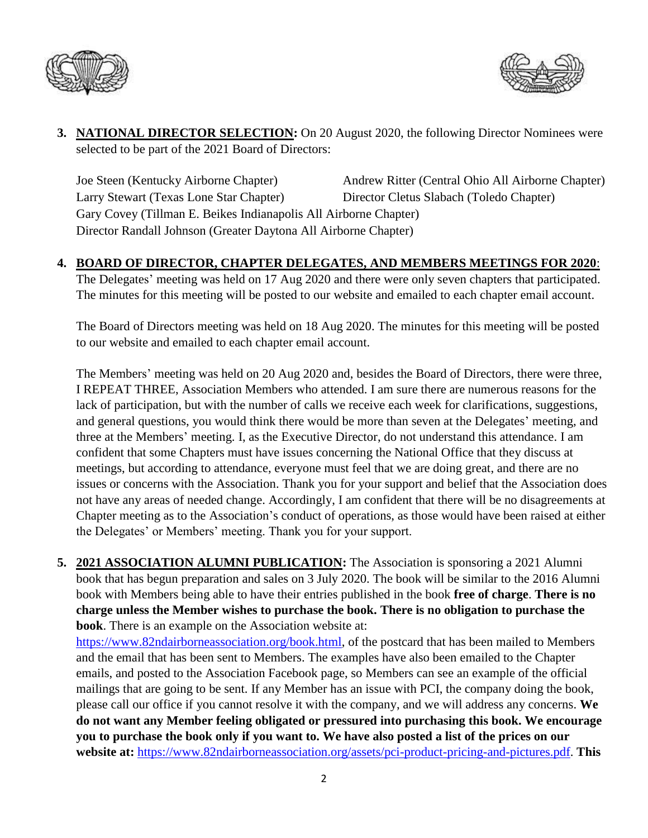



**3. NATIONAL DIRECTOR SELECTION:** On 20 August 2020, the following Director Nominees were selected to be part of the 2021 Board of Directors:

Joe Steen (Kentucky Airborne Chapter) Andrew Ritter (Central Ohio All Airborne Chapter) Larry Stewart (Texas Lone Star Chapter) Director Cletus Slabach (Toledo Chapter) Gary Covey (Tillman E. Beikes Indianapolis All Airborne Chapter) Director Randall Johnson (Greater Daytona All Airborne Chapter)

### **4. BOARD OF DIRECTOR, CHAPTER DELEGATES, AND MEMBERS MEETINGS FOR 2020**:

The Delegates' meeting was held on 17 Aug 2020 and there were only seven chapters that participated. The minutes for this meeting will be posted to our website and emailed to each chapter email account.

The Board of Directors meeting was held on 18 Aug 2020. The minutes for this meeting will be posted to our website and emailed to each chapter email account.

The Members' meeting was held on 20 Aug 2020 and, besides the Board of Directors, there were three, I REPEAT THREE, Association Members who attended. I am sure there are numerous reasons for the lack of participation, but with the number of calls we receive each week for clarifications, suggestions, and general questions, you would think there would be more than seven at the Delegates' meeting, and three at the Members' meeting. I, as the Executive Director, do not understand this attendance. I am confident that some Chapters must have issues concerning the National Office that they discuss at meetings, but according to attendance, everyone must feel that we are doing great, and there are no issues or concerns with the Association. Thank you for your support and belief that the Association does not have any areas of needed change. Accordingly, I am confident that there will be no disagreements at Chapter meeting as to the Association's conduct of operations, as those would have been raised at either the Delegates' or Members' meeting. Thank you for your support.

**5. 2021 ASSOCIATION ALUMNI PUBLICATION:** The Association is sponsoring a 2021 Alumni book that has begun preparation and sales on 3 July 2020. The book will be similar to the 2016 Alumni book with Members being able to have their entries published in the book **free of charge**. **There is no charge unless the Member wishes to purchase the book. There is no obligation to purchase the book**. There is an example on the Association website at:

[https://www.82ndairborneassociation.org/book.html,](https://www.82ndairborneassociation.org/book.html) of the postcard that has been mailed to Members and the email that has been sent to Members. The examples have also been emailed to the Chapter emails, and posted to the Association Facebook page, so Members can see an example of the official mailings that are going to be sent. If any Member has an issue with PCI, the company doing the book, please call our office if you cannot resolve it with the company, and we will address any concerns. **We do not want any Member feeling obligated or pressured into purchasing this book. We encourage you to purchase the book only if you want to. We have also posted a list of the prices on our website at:** [https://www.82ndairborneassociation.org/assets/pci-product-pricing-and-pictures.pdf.](https://www.82ndairborneassociation.org/assets/pci-product-pricing-and-pictures.pdf) **This**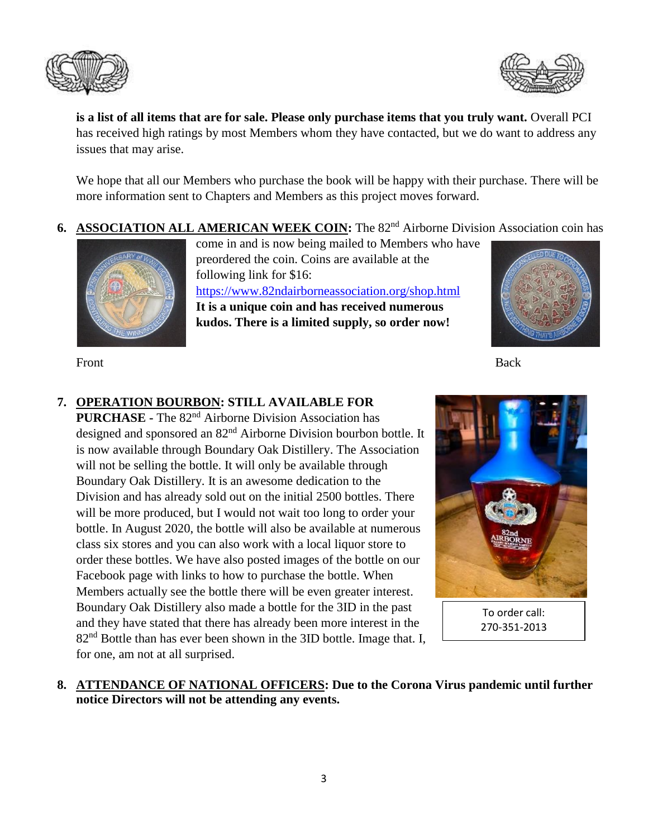



**is a list of all items that are for sale. Please only purchase items that you truly want.** Overall PCI has received high ratings by most Members whom they have contacted, but we do want to address any issues that may arise.

We hope that all our Members who purchase the book will be happy with their purchase. There will be more information sent to Chapters and Members as this project moves forward.

**6. ASSOCIATION ALL AMERICAN WEEK COIN:** The 82<sup>nd</sup> Airborne Division Association coin has



come in and is now being mailed to Members who have preordered the coin. Coins are available at the following link for \$16: <https://www.82ndairborneassociation.org/shop.html> **It is a unique coin and has received numerous kudos. There is a limited supply, so order now!** 



Front Back

# **7. OPERATION BOURBON: STILL AVAILABLE FOR**

**PURCHASE -** The 82nd Airborne Division Association has designed and sponsored an 82nd Airborne Division bourbon bottle. It is now available through Boundary Oak Distillery. The Association will not be selling the bottle. It will only be available through Boundary Oak Distillery. It is an awesome dedication to the Division and has already sold out on the initial 2500 bottles. There will be more produced, but I would not wait too long to order your bottle. In August 2020, the bottle will also be available at numerous class six stores and you can also work with a local liquor store to order these bottles. We have also posted images of the bottle on our Facebook page with links to how to purchase the bottle. When Members actually see the bottle there will be even greater interest. Boundary Oak Distillery also made a bottle for the 3ID in the past and they have stated that there has already been more interest in the  $82<sup>nd</sup>$  Bottle than has ever been shown in the 3ID bottle. Image that. I, for one, am not at all surprised.



To order call: 270-351-2013

### **8. ATTENDANCE OF NATIONAL OFFICERS: Due to the Corona Virus pandemic until further notice Directors will not be attending any events.**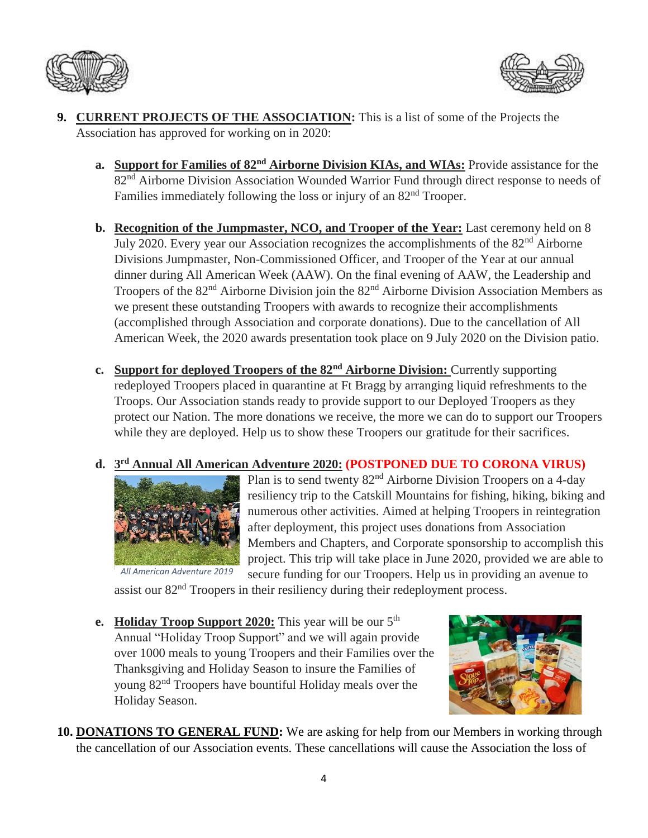



- **9. CURRENT PROJECTS OF THE ASSOCIATION:** This is a list of some of the Projects the Association has approved for working on in 2020:
	- **a. Support for Families of 82nd Airborne Division KIAs, and WIAs:** Provide assistance for the 82nd Airborne Division Association Wounded Warrior Fund through direct response to needs of Families immediately following the loss or injury of an 82<sup>nd</sup> Trooper.
	- **b. Recognition of the Jumpmaster, NCO, and Trooper of the Year:** Last ceremony held on 8 July 2020. Every year our Association recognizes the accomplishments of the 82<sup>nd</sup> Airborne Divisions Jumpmaster, Non-Commissioned Officer, and Trooper of the Year at our annual dinner during All American Week (AAW). On the final evening of AAW, the Leadership and Troopers of the 82nd Airborne Division join the 82nd Airborne Division Association Members as we present these outstanding Troopers with awards to recognize their accomplishments (accomplished through Association and corporate donations). Due to the cancellation of All American Week, the 2020 awards presentation took place on 9 July 2020 on the Division patio.
	- **c. Support for deployed Troopers of the 82nd Airborne Division:** Currently supporting redeployed Troopers placed in quarantine at Ft Bragg by arranging liquid refreshments to the Troops. Our Association stands ready to provide support to our Deployed Troopers as they protect our Nation. The more donations we receive, the more we can do to support our Troopers while they are deployed. Help us to show these Troopers our gratitude for their sacrifices.

#### **d. 3 rd Annual All American Adventure 2020: (POSTPONED DUE TO CORONA VIRUS)**



Plan is to send twenty  $82<sup>nd</sup>$  Airborne Division Troopers on a 4-day resiliency trip to the Catskill Mountains for fishing, hiking, biking and numerous other activities. Aimed at helping Troopers in reintegration after deployment, this project uses donations from Association Members and Chapters, and Corporate sponsorship to accomplish this project. This trip will take place in June 2020, provided we are able to secure funding for our Troopers. Help us in providing an avenue to

assist our 82<sup>nd</sup> Troopers in their resiliency during their redeployment process.

**e. Holiday Troop Support 2020:** This year will be our 5<sup>th</sup> Annual "Holiday Troop Support" and we will again provide over 1000 meals to young Troopers and their Families over the Thanksgiving and Holiday Season to insure the Families of young 82nd Troopers have bountiful Holiday meals over the Holiday Season.



**10. DONATIONS TO GENERAL FUND:** We are asking for help from our Members in working through the cancellation of our Association events. These cancellations will cause the Association the loss of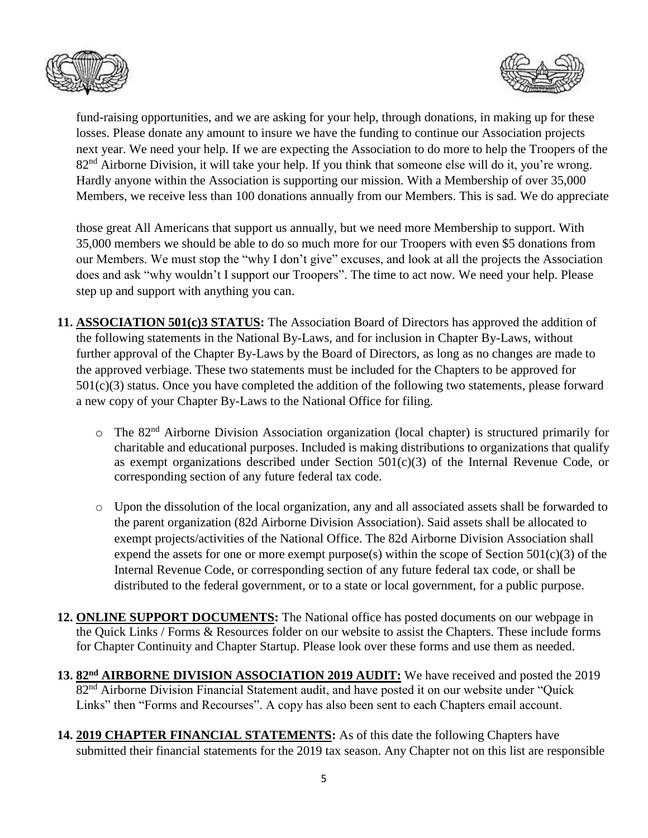



fund-raising opportunities, and we are asking for your help, through donations, in making up for these losses. Please donate any amount to insure we have the funding to continue our Association projects next year. We need your help. If we are expecting the Association to do more to help the Troopers of the 82<sup>nd</sup> Airborne Division, it will take your help. If you think that someone else will do it, you're wrong. Hardly anyone within the Association is supporting our mission. With a Membership of over 35,000 Members, we receive less than 100 donations annually from our Members. This is sad. We do appreciate

those great All Americans that support us annually, but we need more Membership to support. With 35,000 members we should be able to do so much more for our Troopers with even \$5 donations from our Members. We must stop the "why I don't give" excuses, and look at all the projects the Association does and ask "why wouldn't I support our Troopers". The time to act now. We need your help. Please step up and support with anything you can.

- **11. ASSOCIATION 501(c)3 STATUS:** The Association Board of Directors has approved the addition of the following statements in the National By-Laws, and for inclusion in Chapter By-Laws, without further approval of the Chapter By-Laws by the Board of Directors, as long as no changes are made to the approved verbiage. These two statements must be included for the Chapters to be approved for 501(c)(3) status. Once you have completed the addition of the following two statements, please forward a new copy of your Chapter By-Laws to the National Office for filing.
	- $\circ$  The 82<sup>nd</sup> Airborne Division Association organization (local chapter) is structured primarily for charitable and educational purposes. Included is making distributions to organizations that qualify as exempt organizations described under Section 501(c)(3) of the Internal Revenue Code, or corresponding section of any future federal tax code.
	- o Upon the dissolution of the local organization, any and all associated assets shall be forwarded to the parent organization (82d Airborne Division Association). Said assets shall be allocated to exempt projects/activities of the National Office. The 82d Airborne Division Association shall expend the assets for one or more exempt purpose(s) within the scope of Section  $501(c)(3)$  of the Internal Revenue Code, or corresponding section of any future federal tax code, or shall be distributed to the federal government, or to a state or local government, for a public purpose.
- **12. ONLINE SUPPORT DOCUMENTS:** The National office has posted documents on our webpage in the Quick Links / Forms & Resources folder on our website to assist the Chapters. These include forms for Chapter Continuity and Chapter Startup. Please look over these forms and use them as needed.
- **13. 82nd AIRBORNE DIVISION ASSOCIATION 2019 AUDIT:** We have received and posted the 2019 82<sup>nd</sup> Airborne Division Financial Statement audit, and have posted it on our website under "Quick Links" then "Forms and Recourses". A copy has also been sent to each Chapters email account.
- **14. 2019 CHAPTER FINANCIAL STATEMENTS:** As of this date the following Chapters have submitted their financial statements for the 2019 tax season. Any Chapter not on this list are responsible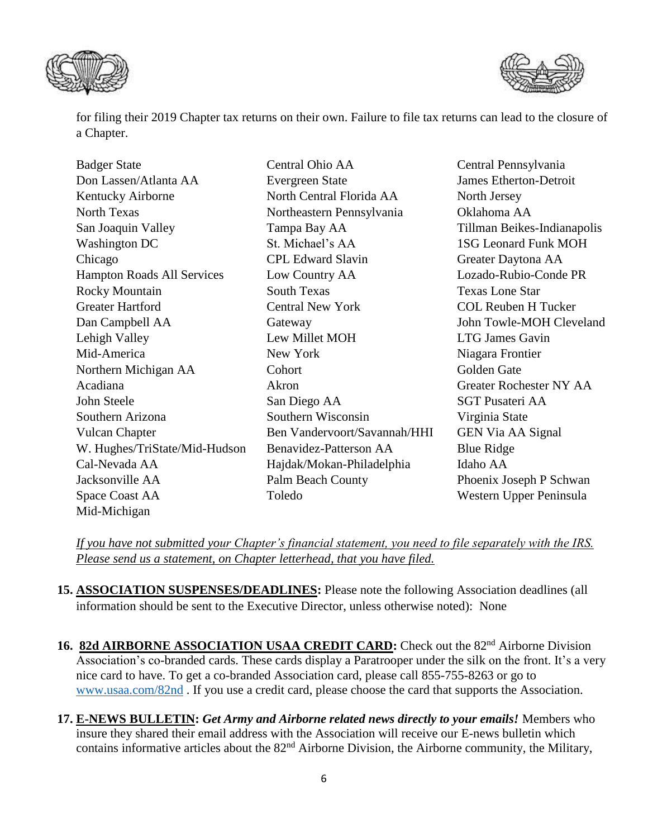



for filing their 2019 Chapter tax returns on their own. Failure to file tax returns can lead to the closure of a Chapter.

| <b>Badger State</b>               | Central Ohio AA              | Central Pennsylvania           |
|-----------------------------------|------------------------------|--------------------------------|
| Don Lassen/Atlanta AA             | <b>Evergreen State</b>       | <b>James Etherton-Detroit</b>  |
| Kentucky Airborne                 | North Central Florida AA     | North Jersey                   |
| <b>North Texas</b>                | Northeastern Pennsylvania    | Oklahoma AA                    |
| San Joaquin Valley                | Tampa Bay AA                 | Tillman Beikes-Indianapolis    |
| <b>Washington DC</b>              | St. Michael's AA             | <b>1SG Leonard Funk MOH</b>    |
| Chicago                           | <b>CPL Edward Slavin</b>     | Greater Daytona AA             |
| <b>Hampton Roads All Services</b> | Low Country AA               | Lozado-Rubio-Conde PR          |
| <b>Rocky Mountain</b>             | <b>South Texas</b>           | <b>Texas Lone Star</b>         |
| <b>Greater Hartford</b>           | <b>Central New York</b>      | <b>COL Reuben H Tucker</b>     |
| Dan Campbell AA                   | Gateway                      | John Towle-MOH Cleveland       |
| Lehigh Valley                     | Lew Millet MOH               | <b>LTG James Gavin</b>         |
| Mid-America                       | New York                     | Niagara Frontier               |
| Northern Michigan AA              | Cohort                       | Golden Gate                    |
| Acadiana                          | Akron                        | <b>Greater Rochester NY AA</b> |
| John Steele                       | San Diego AA                 | <b>SGT Pusateri AA</b>         |
| Southern Arizona                  | Southern Wisconsin           | Virginia State                 |
| <b>Vulcan Chapter</b>             | Ben Vandervoort/Savannah/HHI | <b>GEN Via AA Signal</b>       |
| W. Hughes/TriState/Mid-Hudson     | Benavidez-Patterson AA       | <b>Blue Ridge</b>              |
| Cal-Nevada AA                     | Hajdak/Mokan-Philadelphia    | Idaho AA                       |
| Jacksonville AA                   | Palm Beach County            | Phoenix Joseph P Schwan        |
| Space Coast AA                    | Toledo                       | Western Upper Peninsula        |
| Mid-Michigan                      |                              |                                |

*If you have not submitted your Chapter's financial statement, you need to file separately with the IRS. Please send us a statement, on Chapter letterhead, that you have filed.*

- **15. ASSOCIATION SUSPENSES/DEADLINES:** Please note the following Association deadlines (all information should be sent to the Executive Director, unless otherwise noted): None
- 16. 82d AIRBORNE ASSOCIATION USAA CREDIT CARD: Check out the 82<sup>nd</sup> Airborne Division Association's co-branded cards. These cards display a Paratrooper under the silk on the front. It's a very nice card to have. To get a co-branded Association card, please call 855-755-8263 or go to [www.usaa.com/82nd](http://www.usaa.com/82nd) . If you use a credit card, please choose the card that supports the Association.
- **17. E-NEWS BULLETIN:** *Get Army and Airborne related news directly to your emails!* Members who insure they shared their email address with the Association will receive our E-news bulletin which contains informative articles about the 82<sup>nd</sup> Airborne Division, the Airborne community, the Military,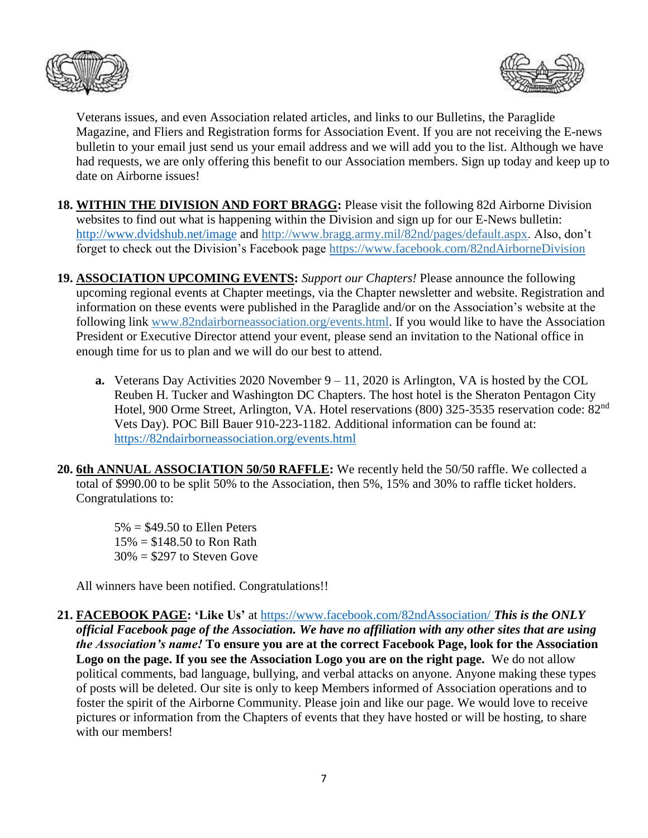



Veterans issues, and even Association related articles, and links to our Bulletins, the Paraglide Magazine, and Fliers and Registration forms for Association Event. If you are not receiving the E-news bulletin to your email just send us your email address and we will add you to the list. Although we have had requests, we are only offering this benefit to our Association members. Sign up today and keep up to date on Airborne issues!

- **18. WITHIN THE DIVISION AND FORT BRAGG:** Please visit the following 82d Airborne Division websites to find out what is happening within the Division and sign up for our E-News bulletin: <http://www.dvidshub.net/image> and [http://www.bragg.army.mil/82nd/pages/default.aspx.](http://www.bragg.army.mil/82ND/Pages/default.aspx) Also, don't forget to check out the Division's Facebook page<https://www.facebook.com/82ndAirborneDivision>
- **19. ASSOCIATION UPCOMING EVENTS:** *Support our Chapters!* Please announce the following upcoming regional events at Chapter meetings, via the Chapter newsletter and website. Registration and information on these events were published in the Paraglide and/or on the Association's website at the following link [www.82ndairborneassociation.org/events.html.](http://www.82ndairborneassociation.org/events.html) If you would like to have the Association President or Executive Director attend your event, please send an invitation to the National office in enough time for us to plan and we will do our best to attend.
	- **a.** Veterans Day Activities 2020 November  $9 11$ , 2020 is Arlington, VA is hosted by the COL Reuben H. Tucker and Washington DC Chapters. The host hotel is the Sheraton Pentagon City Hotel, 900 Orme Street, Arlington, VA. Hotel reservations (800) 325-3535 reservation code: 82nd Vets Day). POC Bill Bauer 910-223-1182. Additional information can be found at: <https://82ndairborneassociation.org/events.html>
- **20. 6th ANNUAL ASSOCIATION 50/50 RAFFLE:** We recently held the 50/50 raffle. We collected a total of \$990.00 to be split 50% to the Association, then 5%, 15% and 30% to raffle ticket holders. Congratulations to:
	- $5\% = $49.50$  to Ellen Peters  $15\% = $148.50$  to Ron Rath  $30\% = $297$  to Steven Gove

All winners have been notified. Congratulations!!

**21. FACEBOOK PAGE: 'Like Us'** at<https://www.facebook.com/82ndAssociation/> *This is the ONLY official Facebook page of the Association. We have no affiliation with any other sites that are using the Association's name!* **To ensure you are at the correct Facebook Page, look for the Association Logo on the page. If you see the Association Logo you are on the right page.** We do not allow political comments, bad language, bullying, and verbal attacks on anyone. Anyone making these types of posts will be deleted. Our site is only to keep Members informed of Association operations and to foster the spirit of the Airborne Community. Please join and like our page. We would love to receive pictures or information from the Chapters of events that they have hosted or will be hosting, to share with our members!